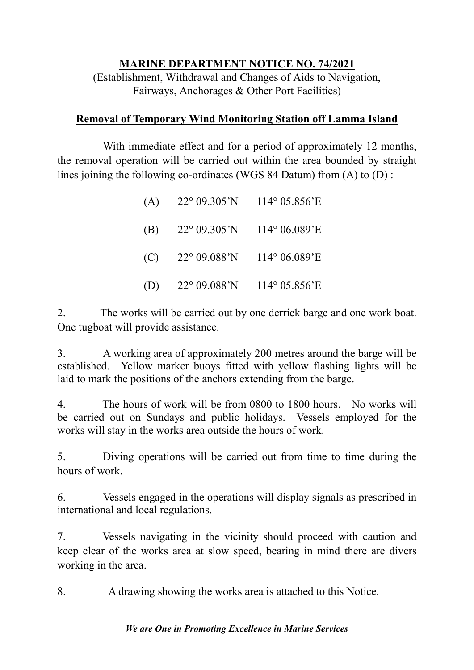## **MARINE DEPARTMENT NOTICE NO. 74/2021**

(Establishment, Withdrawal and Changes of Aids to Navigation, Fairways, Anchorages & Other Port Facilities)

## **Removal of Temporary Wind Monitoring Station off Lamma Island**

With immediate effect and for a period of approximately 12 months, the removal operation will be carried out within the area bounded by straight lines joining the following co-ordinates (WGS 84 Datum) from (A) to (D) :

| (A) | $22^{\circ}$ 09.305'N 114° 05.856'E     |  |
|-----|-----------------------------------------|--|
| (B) | $22^{\circ}$ 09.305'N 114° 06.089'E     |  |
| (C) | $22^{\circ}$ 09.088'N 114° 06.089'E     |  |
|     | (D) $22^{\circ}$ 09.088'N 114° 05.856'E |  |

2. The works will be carried out by one derrick barge and one work boat. One tugboat will provide assistance.

3. A working area of approximately 200 metres around the barge will be established. Yellow marker buoys fitted with yellow flashing lights will be laid to mark the positions of the anchors extending from the barge.

4. The hours of work will be from 0800 to 1800 hours. No works will be carried out on Sundays and public holidays. Vessels employed for the works will stay in the works area outside the hours of work.

5. Diving operations will be carried out from time to time during the hours of work.

6. Vessels engaged in the operations will display signals as prescribed in international and local regulations.

7. Vessels navigating in the vicinity should proceed with caution and keep clear of the works area at slow speed, bearing in mind there are divers working in the area.

8. A drawing showing the works area is attached to this Notice.

## *We are One in Promoting Excellence in Marine Services*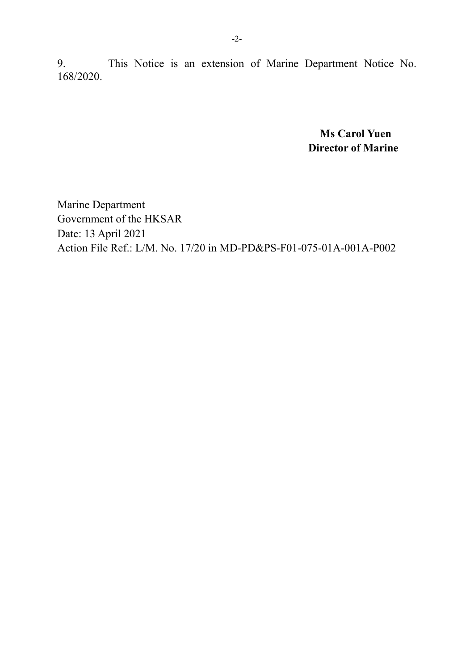9. This Notice is an extension of Marine Department Notice No. 168/2020.

> **Ms Carol Yuen Director of Marine**

Marine Department Government of the HKSAR Date: 13 April 2021 Action File Ref.: L/M. No. 17/20 in MD-PD&PS-F01-075-01A-001A-P002